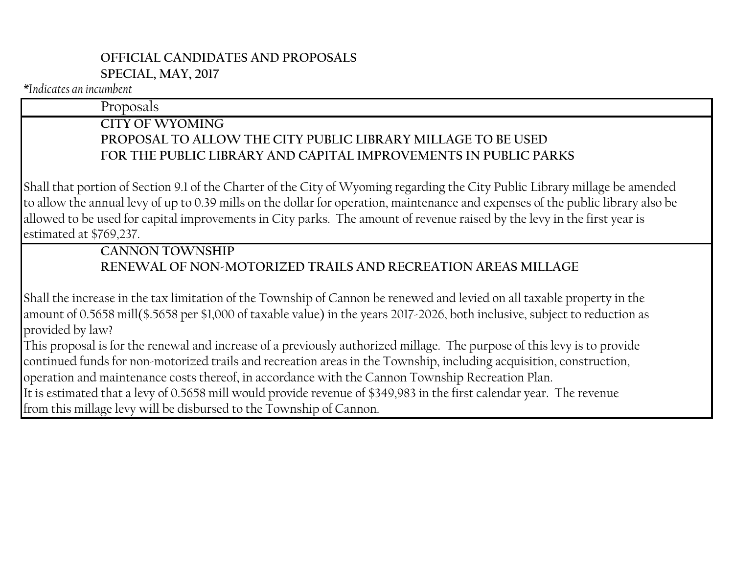### **OFFICIAL CANDIDATES AND PROPOSALS SPECIAL, MAY, 2017**

#### *\*Indicates an incumbent*

#### Proposals

### **CITY OF WYOMING PROPOSAL TO ALLOW THE CITY PUBLIC LIBRARY MILLAGE TO BE USED FOR THE PUBLIC LIBRARY AND CAPITAL IMPROVEMENTS IN PUBLIC PARKS**

Shall that portion of Section 9.1 of the Charter of the City of Wyoming regarding the City Public Library millage be amended to allow the annual levy of up to 0.39 mills on the dollar for operation, maintenance and expenses of the public library also be allowed to be used for capital improvements in City parks. The amount of revenue raised by the levy in the first year is estimated at \$769,237.

# **CANNON TOWNSHIP RENEWAL OF NON-MOTORIZED TRAILS AND RECREATION AREAS MILLAGE**

Shall the increase in the tax limitation of the Township of Cannon be renewed and levied on all taxable property in the amount of 0.5658 mill(\$.5658 per \$1,000 of taxable value) in the years 2017-2026, both inclusive, subject to reduction as provided by law?

This proposal is for the renewal and increase of a previously authorized millage. The purpose of this levy is to provide continued funds for non-motorized trails and recreation areas in the Township, including acquisition, construction, operation and maintenance costs thereof, in accordance with the Cannon Township Recreation Plan. It is estimated that a levy of 0.5658 mill would provide revenue of \$349,983 in the first calendar year. The revenue from this millage levy will be disbursed to the Township of Cannon.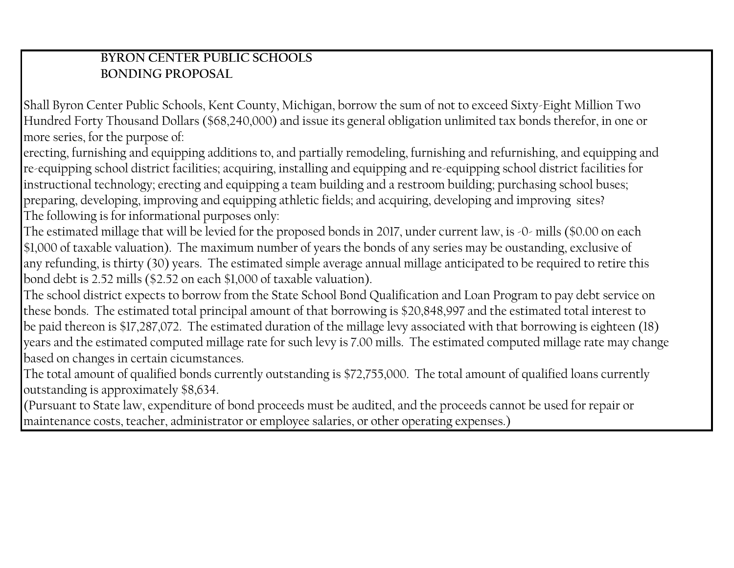### **BYRON CENTER PUBLIC SCHOOLS BONDING PROPOSAL**

Shall Byron Center Public Schools, Kent County, Michigan, borrow the sum of not to exceed Sixty-Eight Million Two Hundred Forty Thousand Dollars (\$68,240,000) and issue its general obligation unlimited tax bonds therefor, in one or more series, for the purpose of:

erecting, furnishing and equipping additions to, and partially remodeling, furnishing and refurnishing, and equipping and re-equipping school district facilities; acquiring, installing and equipping and re-equipping school district facilities for instructional technology; erecting and equipping a team building and a restroom building; purchasing school buses; preparing, developing, improving and equipping athletic fields; and acquiring, developing and improving sites? The following is for informational purposes only:

The estimated millage that will be levied for the proposed bonds in 2017, under current law, is -0- mills (\$0.00 on each \$1,000 of taxable valuation). The maximum number of years the bonds of any series may be oustanding, exclusive of any refunding, is thirty (30) years. The estimated simple average annual millage anticipated to be required to retire this bond debt is 2.52 mills (\$2.52 on each \$1,000 of taxable valuation).

The school district expects to borrow from the State School Bond Qualification and Loan Program to pay debt service on these bonds. The estimated total principal amount of that borrowing is \$20,848,997 and the estimated total interest to be paid thereon is \$17,287,072. The estimated duration of the millage levy associated with that borrowing is eighteen (18) years and the estimated computed millage rate for such levy is 7.00 mills. The estimated computed millage rate may change based on changes in certain cicumstances.

The total amount of qualified bonds currently outstanding is \$72,755,000. The total amount of qualified loans currently outstanding is approximately \$8,634.

(Pursuant to State law, expenditure of bond proceeds must be audited, and the proceeds cannot be used for repair or maintenance costs, teacher, administrator or employee salaries, or other operating expenses.)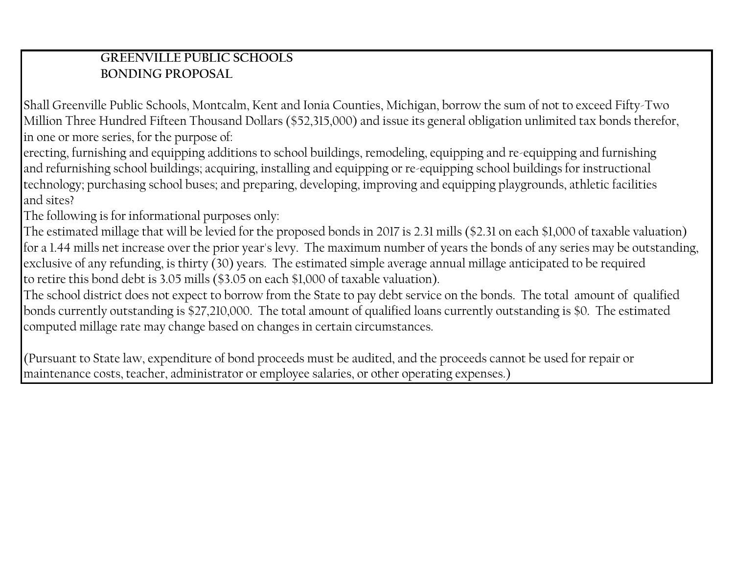## **GREENVILLE PUBLIC SCHOOLS BONDING PROPOSAL**

Shall Greenville Public Schools, Montcalm, Kent and Ionia Counties, Michigan, borrow the sum of not to exceed Fifty-Two Million Three Hundred Fifteen Thousand Dollars (\$52,315,000) and issue its general obligation unlimited tax bonds therefor, in one or more series, for the purpose of:

erecting, furnishing and equipping additions to school buildings, remodeling, equipping and re-equipping and furnishing and refurnishing school buildings; acquiring, installing and equipping or re-equipping school buildings for instructional technology; purchasing school buses; and preparing, developing, improving and equipping playgrounds, athletic facilities and sites?

The following is for informational purposes only:

The estimated millage that will be levied for the proposed bonds in 2017 is 2.31 mills (\$2.31 on each \$1,000 of taxable valuation) for a 1.44 mills net increase over the prior year's levy. The maximum number of years the bonds of any series may be outstanding, exclusive of any refunding, is thirty (30) years. The estimated simple average annual millage anticipated to be required to retire this bond debt is 3.05 mills (\$3.05 on each \$1,000 of taxable valuation).

The school district does not expect to borrow from the State to pay debt service on the bonds. The total amount of qualified bonds currently outstanding is \$27,210,000. The total amount of qualified loans currently outstanding is \$0. The estimated computed millage rate may change based on changes in certain circumstances.

(Pursuant to State law, expenditure of bond proceeds must be audited, and the proceeds cannot be used for repair or maintenance costs, teacher, administrator or employee salaries, or other operating expenses.)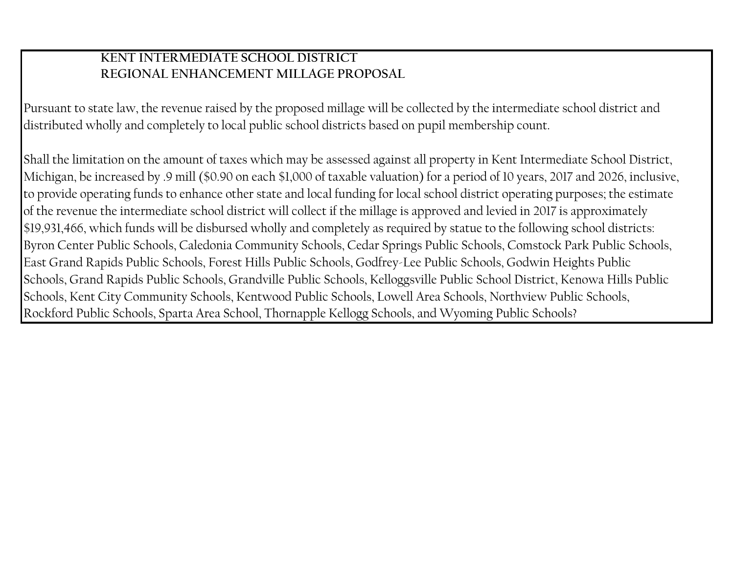#### **KENT INTERMEDIATE SCHOOL DISTRICT REGIONAL ENHANCEMENT MILLAGE PROPOSAL**

Pursuant to state law, the revenue raised by the proposed millage will be collected by the intermediate school district and distributed wholly and completely to local public school districts based on pupil membership count.

Shall the limitation on the amount of taxes which may be assessed against all property in Kent Intermediate School District, Michigan, be increased by .9 mill (\$0.90 on each \$1,000 of taxable valuation) for a period of 10 years, 2017 and 2026, inclusive, to provide operating funds to enhance other state and local funding for local school district operating purposes; the estimate of the revenue the intermediate school district will collect if the millage is approved and levied in 2017 is approximately \$19,931,466, which funds will be disbursed wholly and completely as required by statue to the following school districts: Byron Center Public Schools, Caledonia Community Schools, Cedar Springs Public Schools, Comstock Park Public Schools, East Grand Rapids Public Schools, Forest Hills Public Schools, Godfrey-Lee Public Schools, Godwin Heights Public Schools, Grand Rapids Public Schools, Grandville Public Schools, Kelloggsville Public School District, Kenowa Hills Public Schools, Kent City Community Schools, Kentwood Public Schools, Lowell Area Schools, Northview Public Schools, Rockford Public Schools, Sparta Area School, Thornapple Kellogg Schools, and Wyoming Public Schools?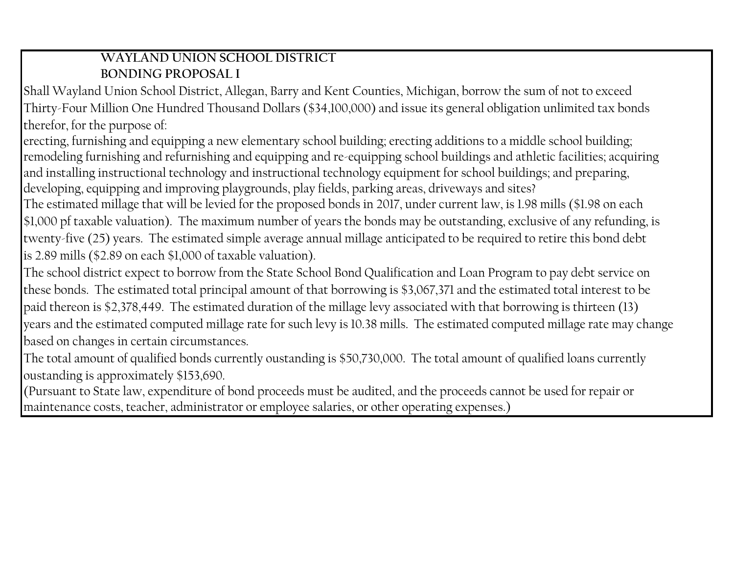# **WAYLAND UNION SCHOOL DISTRICT BONDING PROPOSAL I**

Shall Wayland Union School District, Allegan, Barry and Kent Counties, Michigan, borrow the sum of not to exceed Thirty-Four Million One Hundred Thousand Dollars (\$34,100,000) and issue its general obligation unlimited tax bonds therefor, for the purpose of:

erecting, furnishing and equipping a new elementary school building; erecting additions to a middle school building; remodeling furnishing and refurnishing and equipping and re-equipping school buildings and athletic facilities; acquiring and installing instructional technology and instructional technology equipment for school buildings; and preparing, developing, equipping and improving playgrounds, play fields, parking areas, driveways and sites?

The estimated millage that will be levied for the proposed bonds in 2017, under current law, is 1.98 mills (\$1.98 on each \$1,000 pf taxable valuation). The maximum number of years the bonds may be outstanding, exclusive of any refunding, is twenty-five (25) years. The estimated simple average annual millage anticipated to be required to retire this bond debt is 2.89 mills (\$2.89 on each \$1,000 of taxable valuation).

The school district expect to borrow from the State School Bond Qualification and Loan Program to pay debt service on these bonds. The estimated total principal amount of that borrowing is \$3,067,371 and the estimated total interest to be paid thereon is \$2,378,449. The estimated duration of the millage levy associated with that borrowing is thirteen (13) years and the estimated computed millage rate for such levy is 10.38 mills. The estimated computed millage rate may change based on changes in certain circumstances.

The total amount of qualified bonds currently oustanding is \$50,730,000. The total amount of qualified loans currently oustanding is approximately \$153,690.

(Pursuant to State law, expenditure of bond proceeds must be audited, and the proceeds cannot be used for repair or maintenance costs, teacher, administrator or employee salaries, or other operating expenses.)